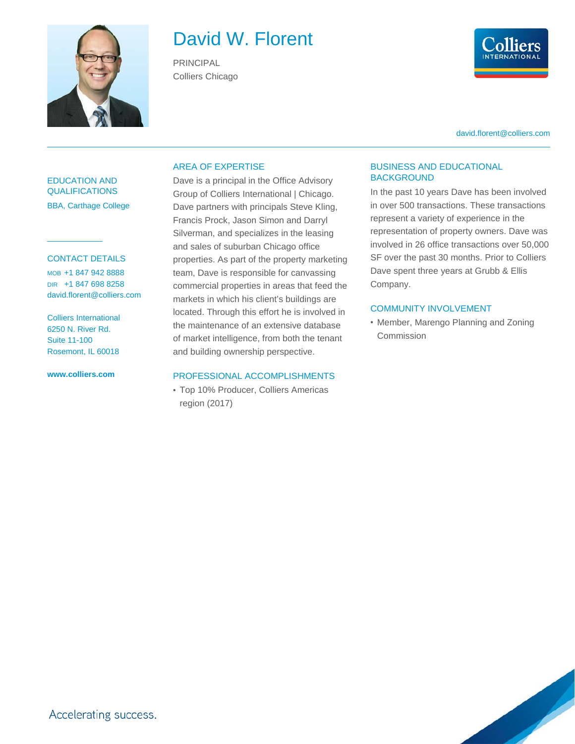

# David W. Florent

PRINCIPAL Colliers Chicago



david.florent@colliers.com

## EDUCATION AND QUALIFICATIONS BBA, Carthage College

## CONTACT DETAILS

MOB +1 847 942 8888 DIR +1 847 698 8258 david.florent@colliers.com

Colliers International 6250 N. River Rd. Suite 11-100 Rosemont, IL 60018

**www.colliers.com**

## AREA OF EXPERTISE

Dave is a principal in the Office Advisory Group of Colliers International | Chicago. Dave partners with principals Steve Kling, Francis Prock, Jason Simon and Darryl Silverman, and specializes in the leasing and sales of suburban Chicago office properties. As part of the property marketing team, Dave is responsible for canvassing commercial properties in areas that feed the markets in which his client's buildings are located. Through this effort he is involved in the maintenance of an extensive database of market intelligence, from both the tenant and building ownership perspective.

#### PROFESSIONAL ACCOMPLISHMENTS

• Top 10% Producer, Colliers Americas region (2017)

## BUSINESS AND EDUCATIONAL BACKGROUND

In the past 10 years Dave has been involved in over 500 transactions. These transactions represent a variety of experience in the representation of property owners. Dave was involved in 26 office transactions over 50,000 SF over the past 30 months. Prior to Colliers Dave spent three years at Grubb & Ellis Company.

### COMMUNITY INVOLVEMENT

• Member, Marengo Planning and Zoning Commission